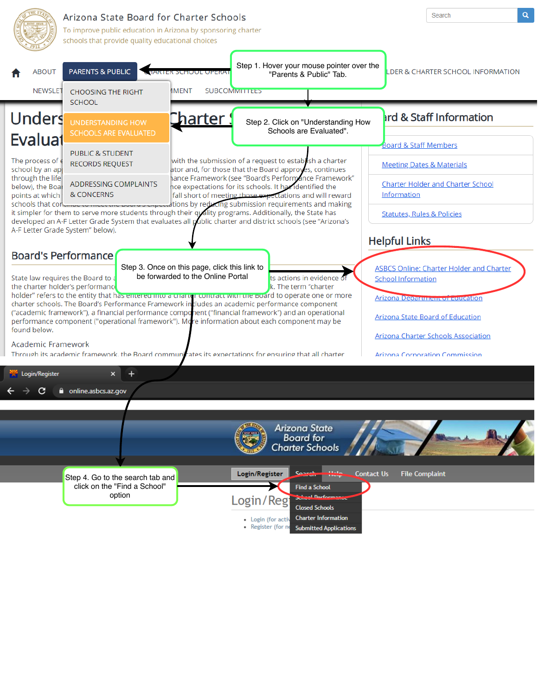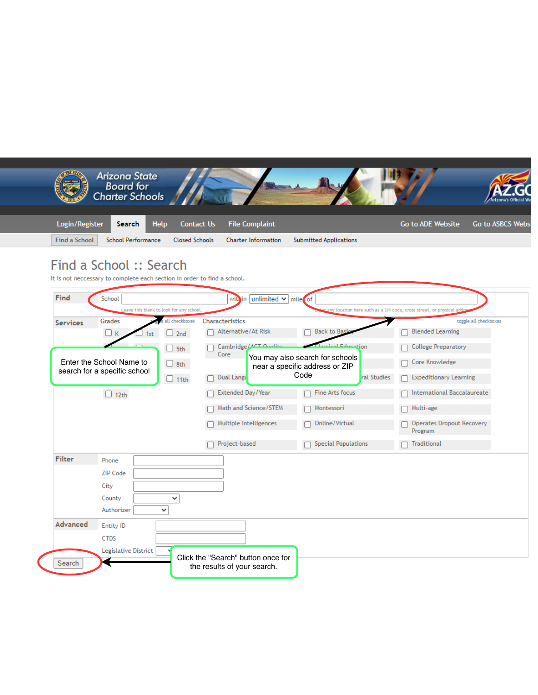|                                             | Login/Register<br><b>Help</b><br>Search                                  | <b>Contact Us</b><br><b>File Complaint</b>                                | <b>Go to ADE Website</b><br><b>Go to ASBCS Webs</b>                    |
|---------------------------------------------|--------------------------------------------------------------------------|---------------------------------------------------------------------------|------------------------------------------------------------------------|
| <b>Find a School</b>                        | <b>School Performance</b>                                                | <b>Closed Schools</b><br><b>Charter Information</b>                       | <b>Submitted Applications</b>                                          |
|                                             | Find a School: Search                                                    |                                                                           |                                                                        |
|                                             | It is not neccessary to complete each section in order to find a school. |                                                                           |                                                                        |
| Find                                        | School                                                                   | within unlimited $\vee$ mile of                                           |                                                                        |
|                                             | Leave this blank to look for any school                                  |                                                                           | any location here such as a ZIP code, cross street, or physical ad     |
| <b>Services</b>                             | Grades<br>all checkboxes<br>2nd<br>LIK<br>1st                            | Characteristics<br>Alternative/At Risk                                    | toggle all checkboxes<br><b>Back to Bas</b><br><b>Blended Learning</b> |
|                                             | $\Box$ 5th                                                               | Cambridge/A                                                               | tion<br><b>College Preparatory</b>                                     |
|                                             | Enter the School Name to<br>$\Box$ 8th                                   | Core<br>You may also search for schools<br>near a specific address or ZIP | Core Knowledge                                                         |
| search for a specific school<br>$\Box$ 11th |                                                                          | Code<br>Dual Langu                                                        | ral Studies<br><b>Expeditionary Learning</b>                           |
|                                             | $\Box$ 12th                                                              | Extended Day/Year                                                         | International Baccalaureate<br>Fine Arts focus                         |
|                                             |                                                                          | Math and Science/STEM                                                     | Multi-age<br>Montessori                                                |
|                                             |                                                                          | Multiple Intelligences                                                    | Operates Dropout Recovery<br>Online/Virtual<br>Program                 |
|                                             |                                                                          | Project-based<br>$\Box$                                                   | <b>Special Populations</b><br>Traditional                              |
|                                             | Phone                                                                    |                                                                           |                                                                        |
| <b>Filter</b>                               |                                                                          |                                                                           |                                                                        |
|                                             | <b>ZIP Code</b>                                                          |                                                                           |                                                                        |
|                                             | City<br>County<br>۰                                                      |                                                                           |                                                                        |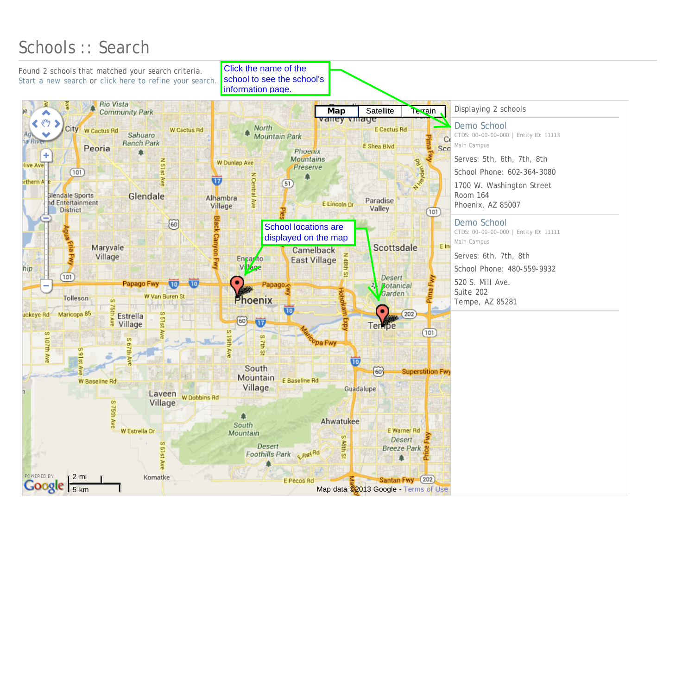## <span id="page-2-0"></span>Schools :: Search

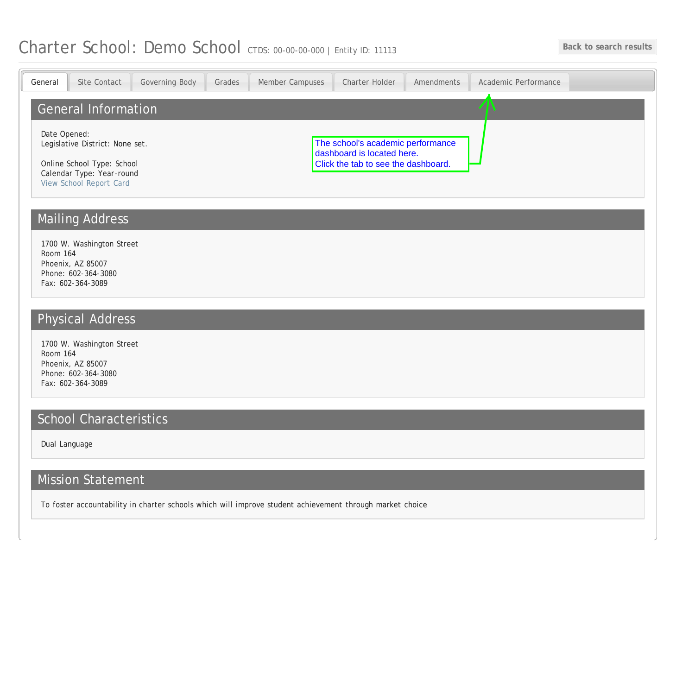## <span id="page-3-0"></span>Charter School: Demo School CTDS: 00-00-00-000 | Entity ID: 11113 Back to search results

| Site Contact<br>General                                                                                                               | Governing Body | Grades                                                                                                 | Member Campuses | Charter Holder | Amendments | Academic Performance |  |
|---------------------------------------------------------------------------------------------------------------------------------------|----------------|--------------------------------------------------------------------------------------------------------|-----------------|----------------|------------|----------------------|--|
| <b>General Information</b>                                                                                                            |                |                                                                                                        |                 |                |            |                      |  |
| Date Opened:<br>Legislative District: None set.<br>Online School Type: School<br>Calendar Type: Year-round<br>View School Report Card |                | The school's academic performance<br>dashboard is located here.<br>Click the tab to see the dashboard. |                 |                |            |                      |  |
| <b>Mailing Address</b>                                                                                                                |                |                                                                                                        |                 |                |            |                      |  |
| 1700 W. Washington Street<br>Room 164<br>Phoenix, AZ 85007<br>Phone: 602-364-3080<br>Fax: 602-364-3089                                |                |                                                                                                        |                 |                |            |                      |  |
| <b>Physical Address</b>                                                                                                               |                |                                                                                                        |                 |                |            |                      |  |
| 1700 W. Washington Street<br>Room 164<br>Phoenix, AZ 85007<br>Phone: 602-364-3080<br>Fax: 602-364-3089                                |                |                                                                                                        |                 |                |            |                      |  |
| <b>School Characteristics</b>                                                                                                         |                |                                                                                                        |                 |                |            |                      |  |
| Dual Language                                                                                                                         |                |                                                                                                        |                 |                |            |                      |  |
| <b>Mission Statement</b>                                                                                                              |                |                                                                                                        |                 |                |            |                      |  |
| To foster accountability in charter schools which will improve student achievement through market choice                              |                |                                                                                                        |                 |                |            |                      |  |
|                                                                                                                                       |                |                                                                                                        |                 |                |            |                      |  |